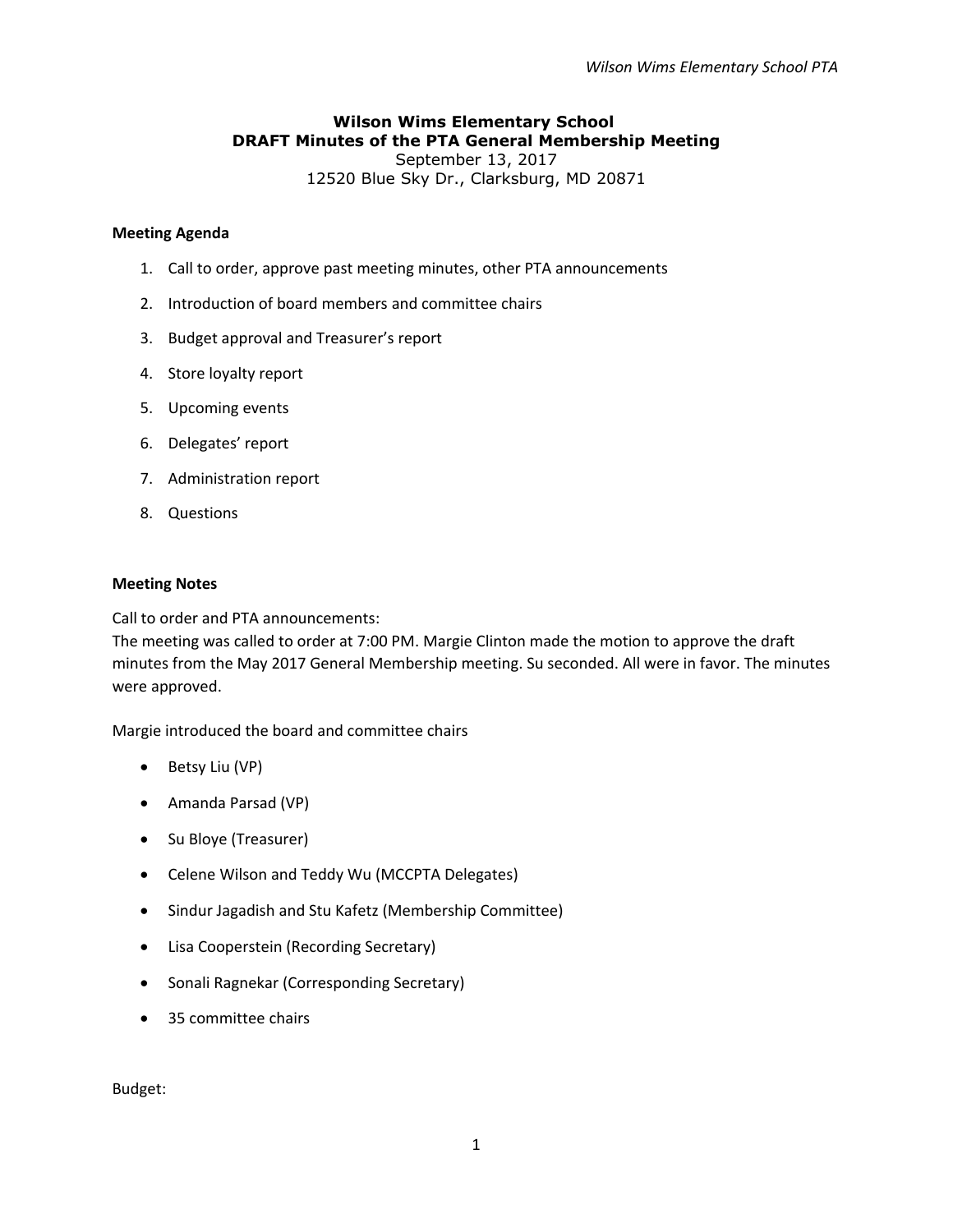# **Wilson Wims Elementary School DRAFT Minutes of the PTA General Membership Meeting** September 13, 2017

12520 Blue Sky Dr., Clarksburg, MD 20871

## **Meeting Agenda**

- 1. Call to order, approve past meeting minutes, other PTA announcements
- 2. Introduction of board members and committee chairs
- 3. Budget approval and Treasurer's report
- 4. Store loyalty report
- 5. Upcoming events
- 6. Delegates' report
- 7. Administration report
- 8. Questions

### **Meeting Notes**

Call to order and PTA announcements:

The meeting was called to order at 7:00 PM. Margie Clinton made the motion to approve the draft minutes from the May 2017 General Membership meeting. Su seconded. All were in favor. The minutes were approved.

Margie introduced the board and committee chairs

- Betsy Liu (VP)
- Amanda Parsad (VP)
- Su Bloye (Treasurer)
- Celene Wilson and Teddy Wu (MCCPTA Delegates)
- Sindur Jagadish and Stu Kafetz (Membership Committee)
- Lisa Cooperstein (Recording Secretary)
- Sonali Ragnekar (Corresponding Secretary)
- 35 committee chairs

Budget: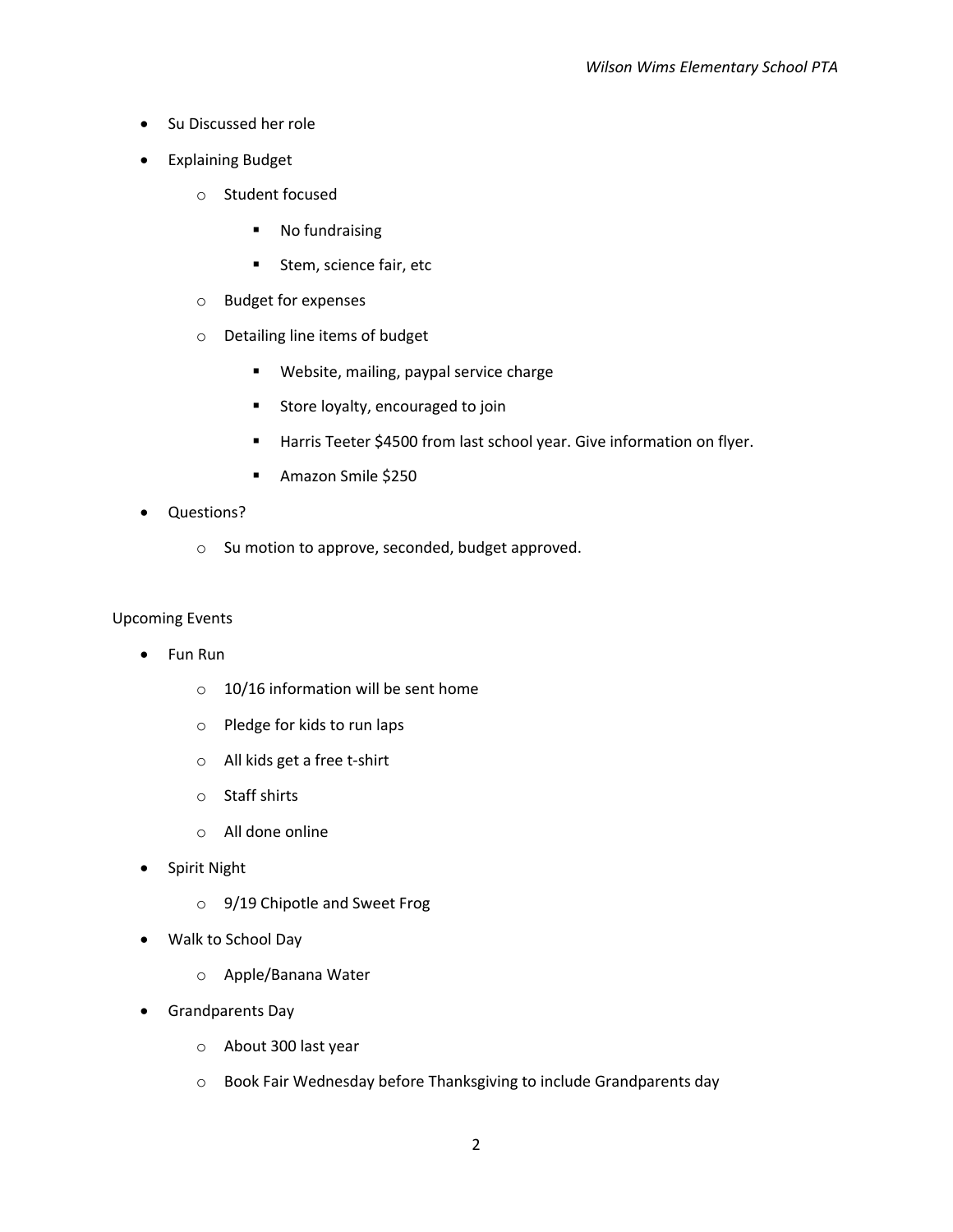- Su Discussed her role
- Explaining Budget
	- o Student focused
		- **No fundraising**
		- **Stem, science fair, etc**
	- o Budget for expenses
	- o Detailing line items of budget
		- **Website, mailing, paypal service charge**
		- **Store loyalty, encouraged to join**
		- Harris Teeter \$4500 from last school year. Give information on flyer.
		- **Amazon Smile \$250**
- Questions?
	- o Su motion to approve, seconded, budget approved.

#### Upcoming Events

- Fun Run
	- $\circ$  10/16 information will be sent home
	- o Pledge for kids to run laps
	- o All kids get a free t-shirt
	- o Staff shirts
	- o All done online
- Spirit Night
	- o 9/19 Chipotle and Sweet Frog
- Walk to School Day
	- o Apple/Banana Water
- Grandparents Day
	- o About 300 last year
	- o Book Fair Wednesday before Thanksgiving to include Grandparents day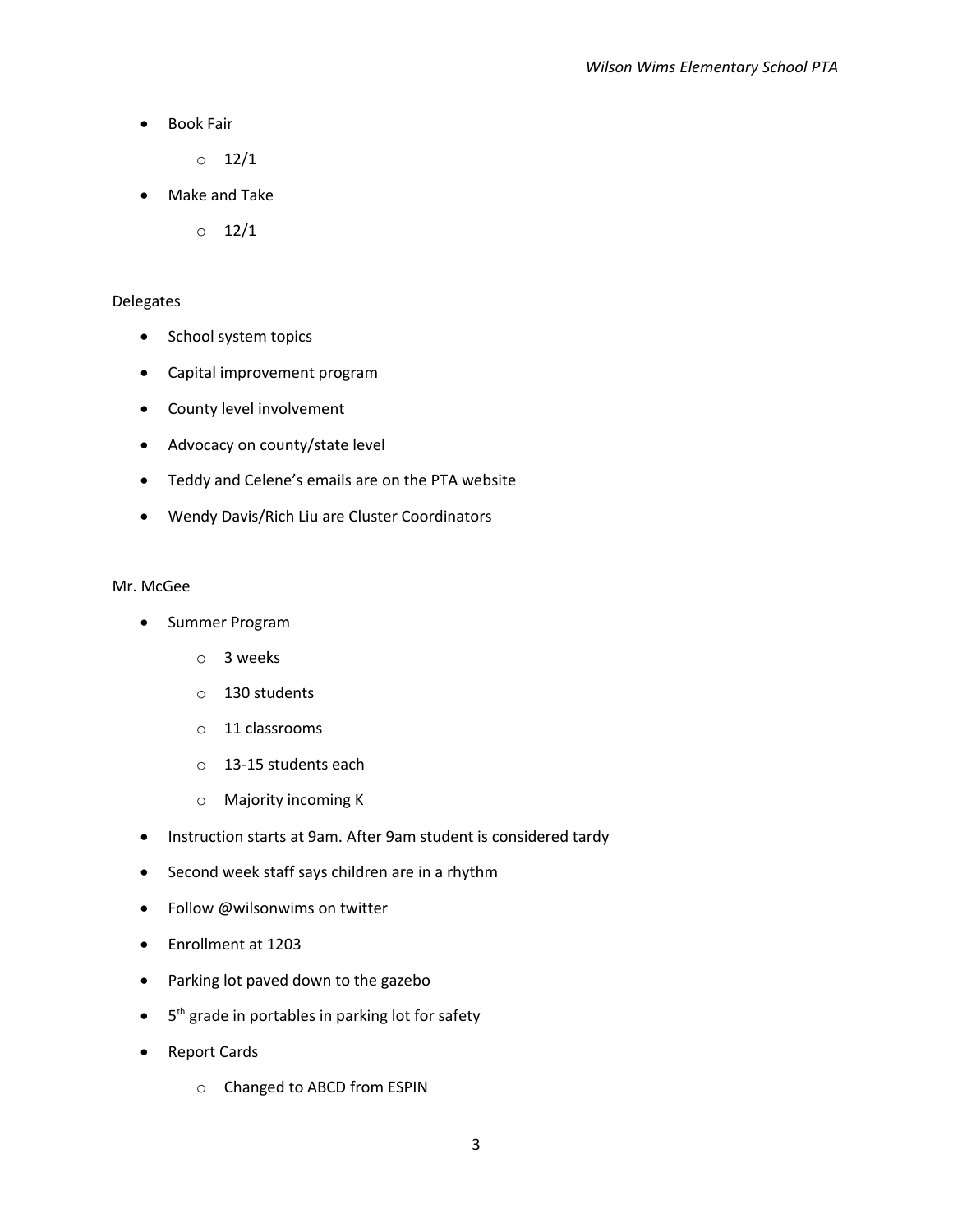Book Fair

 $\circ$  12/1

Make and Take

 $\circ$  12/1

#### Delegates

- School system topics
- Capital improvement program
- County level involvement
- Advocacy on county/state level
- Teddy and Celene's emails are on the PTA website
- Wendy Davis/Rich Liu are Cluster Coordinators

#### Mr. McGee

- Summer Program
	- o 3 weeks
	- o 130 students
	- o 11 classrooms
	- o 13-15 students each
	- o Majority incoming K
- **•** Instruction starts at 9am. After 9am student is considered tardy
- Second week staff says children are in a rhythm
- Follow @wilsonwims on twitter
- Enrollment at 1203
- Parking lot paved down to the gazebo
- 5<sup>th</sup> grade in portables in parking lot for safety
- Report Cards
	- o Changed to ABCD from ESPIN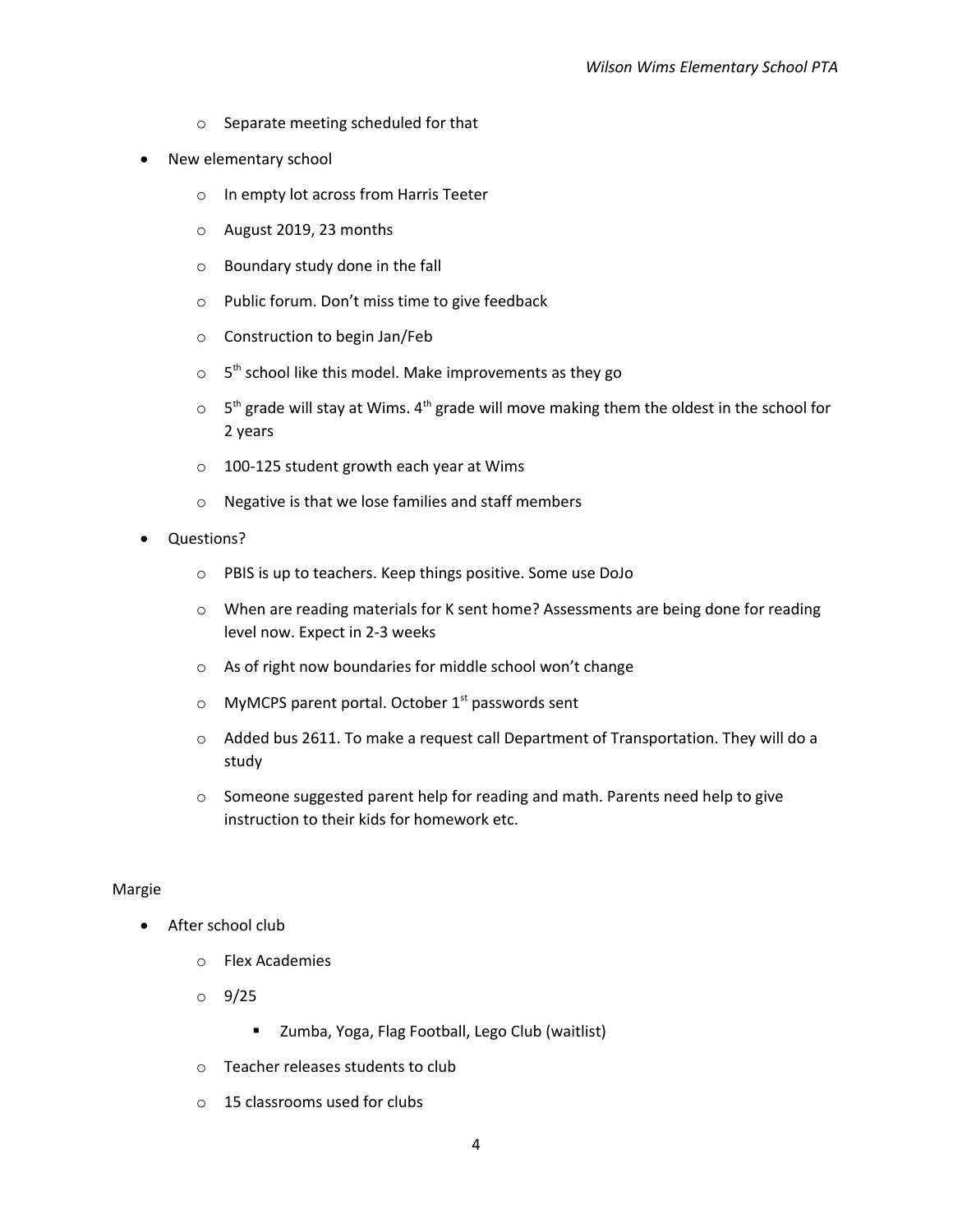- o Separate meeting scheduled for that
- New elementary school
	- o In empty lot across from Harris Teeter
	- o August 2019, 23 months
	- o Boundary study done in the fall
	- o Public forum. Don't miss time to give feedback
	- o Construction to begin Jan/Feb
	- $\circ$  5<sup>th</sup> school like this model. Make improvements as they go
	- $\circ$  5<sup>th</sup> grade will stay at Wims. 4<sup>th</sup> grade will move making them the oldest in the school for 2 years
	- o 100-125 student growth each year at Wims
	- o Negative is that we lose families and staff members
- Questions?
	- o PBIS is up to teachers. Keep things positive. Some use DoJo
	- o When are reading materials for K sent home? Assessments are being done for reading level now. Expect in 2-3 weeks
	- o As of right now boundaries for middle school won't change
	- $\circ$  MyMCPS parent portal. October 1<sup>st</sup> passwords sent
	- $\circ$  Added bus 2611. To make a request call Department of Transportation. They will do a study
	- $\circ$  Someone suggested parent help for reading and math. Parents need help to give instruction to their kids for homework etc.

#### Margie

- After school club
	- o Flex Academies
	- o 9/25
		- **E** Zumba, Yoga, Flag Football, Lego Club (waitlist)
	- o Teacher releases students to club
	- o 15 classrooms used for clubs